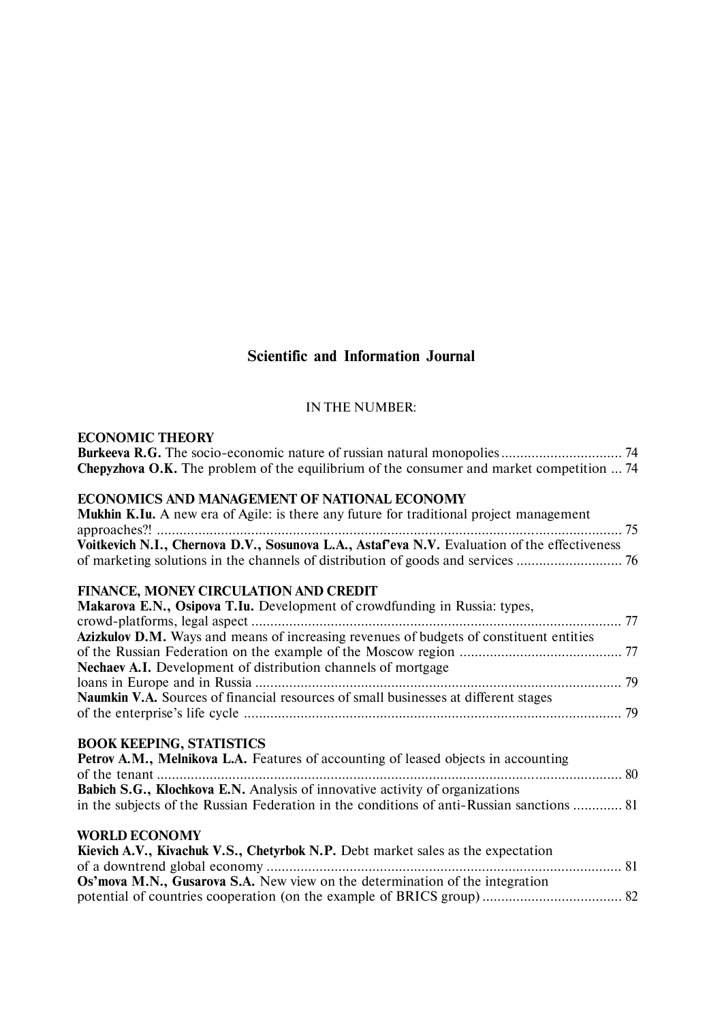# **Scientific and Information Journal**

## IN THE NUMBER:

## **ECONOMIC THEORY**

| Kievich A.V., Kivachuk V.S., Chetyrbok N.P. Debt market sales as the expectation |  |
|----------------------------------------------------------------------------------|--|
|                                                                                  |  |
| Os' mova M.N., Gusarova S.A. New view on the determination of the integration    |  |
|                                                                                  |  |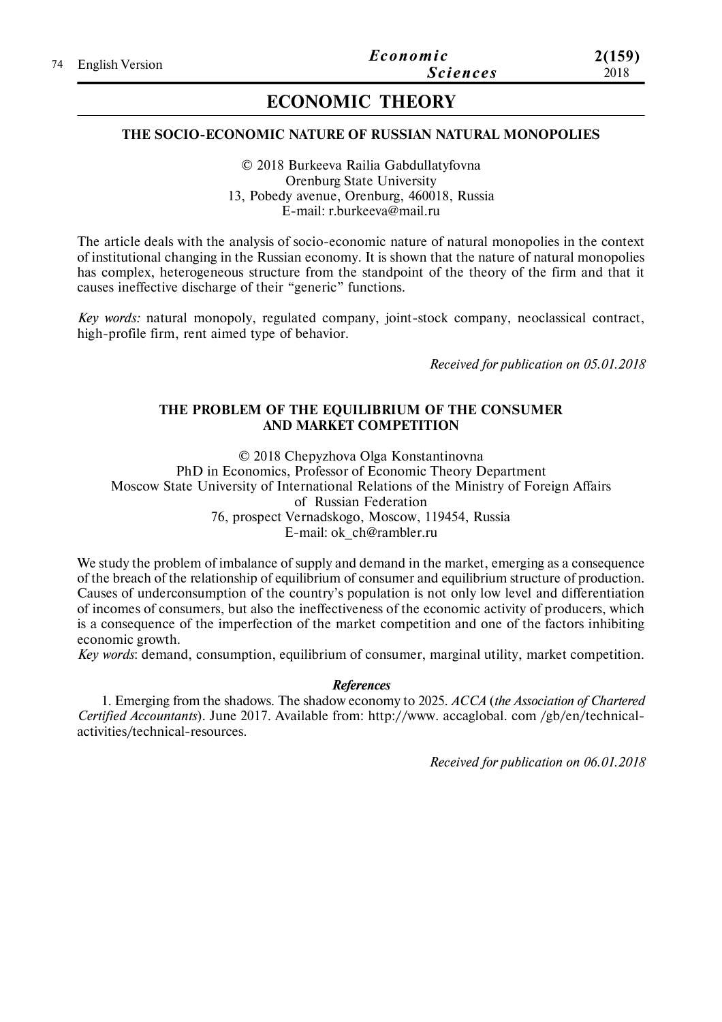# **ECONOMIC THEORY**

### **THE SOCIO-ECONOMIC NATURE OF RUSSIAN NATURAL MONOPOLIES**

© 2018 Burkeeva Railia Gabdullatyfovna Orenburg State University 13, Pobedy avenue, Orenburg, 460018, Russia E-mail: r.burkeeva@mail.ru

The article deals with the analysis of socio-economic nature of natural monopolies in the context of institutional changing in the Russian economy. It is shown that the nature of natural monopolies has complex, heterogeneous structure from the standpoint of the theory of the firm and that it causes ineffective discharge of their "generic" functions.

*Key words:* natural monopoly, regulated company, joint-stock company, neoclassical contract, high-profile firm, rent aimed type of behavior.

*Received for publication on 05.01.2018*

### **THE PROBLEM OF THE EQUILIBRIUM OF THE CONSUMER AND MARKET COMPETITION**

© 2018 Chepyzhova Olga Konstantinovna PhD in Economics, Professor of Economic Theory Department Moscow State University of International Relations of the Ministry of Foreign Affairs of Russian Federation 76, prospect Vernadskogo, Moscow, 119454, Russia E-mail: ok\_ch@rambler.ru

We study the problem of imbalance of supply and demand in the market, emerging as a consequence of the breach of the relationship of equilibrium of consumer and equilibrium structure of production. Causes of underconsumption of the country's population is not only low level and differentiation of incomes of consumers, but also the ineffectiveness of the economic activity of producers, which is a consequence of the imperfection of the market competition and one of the factors inhibiting economic growth.

*Key words*: demand, consumption, equilibrium of consumer, marginal utility, market competition.

#### *References*

1. Emerging from the shadows. The shadow economy to 2025. *ACCA* (*the Association of Chartered Certified Accountants*). June 2017. Available from: httр://www. accaglobal. com /gb/en/technicalactivities/technical-resources.

*Received for publication on 06.01.2018*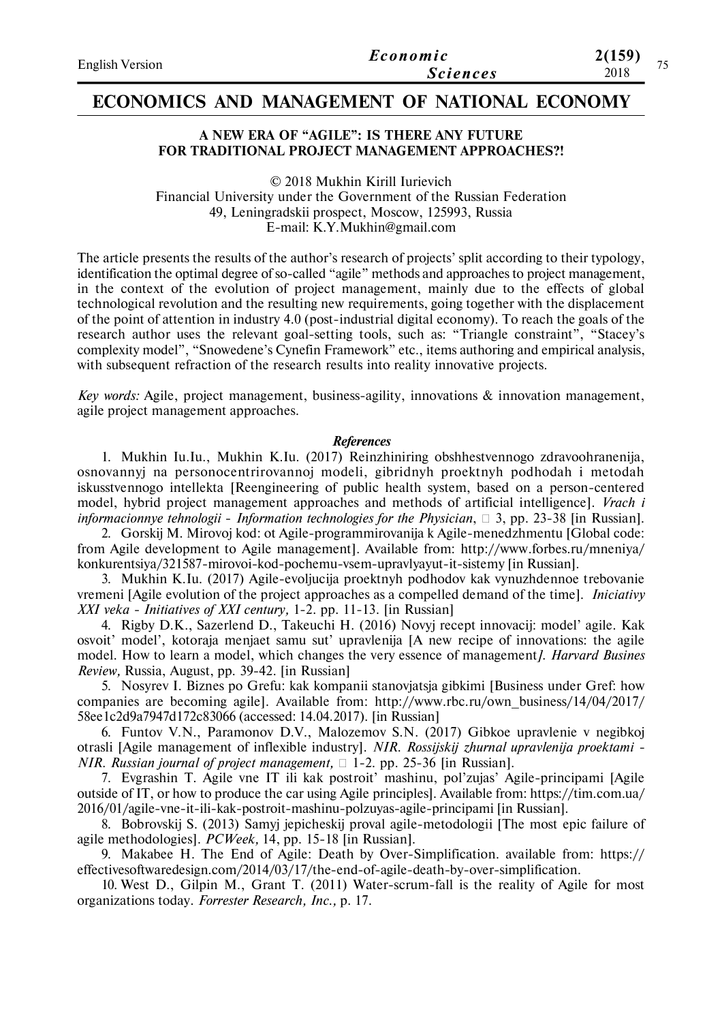| <b>English Version</b> | Economic        | 2(159)<br>75 |
|------------------------|-----------------|--------------|
|                        | <b>Sciences</b> | 2018         |

## **ECONOMICS AND MANAGEMENT OF NATIONAL ECONOMY**

### **A NEW ERA OF "AGILE": IS THERE ANY FUTURE FOR TRADITIONAL PROJECT MANAGEMENT APPROACHES?!**

© 2018 Mukhin Kirill Iurievich Financial University under the Government of the Russian Federation 49, Leningradskii prospect, Moscow, 125993, Russia E-mail: K.Y.Mukhin@gmail.com

The article presents the results of the author's research of projects' split according to their typology, identification the optimal degree of so-called "agile" methods and approaches to project management, in the context of the evolution of project management, mainly due to the effects of global technological revolution and the resulting new requirements, going together with the displacement of the point of attention in industry 4.0 (post-industrial digital economy). To reach the goals of the research author uses the relevant goal-setting tools, such as: "Triangle constraint", "Stacey's complexity model", "Snowedene's Cynefin Framework" etc., items authoring and empirical analysis, with subsequent refraction of the research results into reality innovative projects.

*Key words:* Agile, project management, business-agility, innovations & innovation management, agile project management approaches.

#### *References*

1. Mukhin Iu.Iu., Mukhin K.Iu. (2017) Reinzhiniring obshhestvennogo zdravoohranenija, osnovannyj na personocentrirovannoj modeli, gibridnyh proektnyh podhodah i metodah iskusstvennogo intellekta [Reengineering of public health system, based on a person-centered model, hybrid project management approaches and methods of artificial intelligence]. *Vrach i informacionnye tehnologii* - *Information technologies for the Physician*, 3, pp. 23-38 [in Russian].

2. Gorskij M. Mirovoj kod: ot Agile-programmirovanija k Agile-menedzhmentu [Global code: from Agile development to Agile management]. Available from: http://www.forbes.ru/mneniya/ konkurentsiya/321587-mirovoi-kod-pochemu-vsem-upravlyayut-it-sistemy [in Russian].

3. Mukhin K.Iu. (2017) Agile-evoljucija proektnyh podhodov kak vynuzhdennoe trebovanie vremeni [Agile evolution of the project approaches as a compelled demand of the time]. *Iniciativy XXI veka - Initiatives of XXI century,* 1-2. pp. 11-13. [in Russian]

4. Rigby D.K., Sazerlend D., Takeuchi H. (2016) Novyj recept innovacij: model' agile. Kak osvoit' model', kotoraja menjaet samu sut' upravlenija [A new recipe of innovations: the agile model. How to learn a model, which changes the very essence of management*]. Harvard Busines Review,* Russia, August, pp. 39-42. [in Russian]

5. Nosyrev I. Biznes po Grefu: kak kompanii stanovjatsja gibkimi [Business under Gref: how companies are becoming agile]. Available from: http://www.rbc.ru/own\_business/14/04/2017/ 58ee1c2d9a7947d172c83066 (accessed: 14.04.2017). [in Russian]

6. Funtov V.N., Paramonov D.V., Malozemov S.N. (2017) Gibkoe upravlenie v negibkoj otrasli [Agile management of inflexible industry]. *NIR. Rossijskij zhurnal upravlenija proektami - NIR. Russian journal of project management*,  $\Box$  1-2. pp. 25-36 [in Russian].

7. Evgrashin T. Agile vne IT ili kak postroit' mashinu, pol'zujas' Agile-principami [Agile outside of IT, or how to produce the car using Agile principles]. Available from: https://tim.com.ua/ 2016/01/agile-vne-it-ili-kak-postroit-mashinu-polzuyas-agile-principami [in Russian].

8. Bobrovskij S. (2013) Samyj jepicheskij proval agile-metodologii [The most epic failure of agile methodologies]. *PCWeek,* 14, pp. 15-18 [in Russian].

9. Makabee H. The End of Agile: Death by Over-Simplification. available from: https:// effectivesoftwaredesign.com/2014/03/17/the-end-of-agile-death-by-over-simplification.

10. West D., Gilpin M., Grant T. (2011) Water-scrum-fall is the reality of Agile for most organizations today. *Forrester Research, Inc.,* p. 17.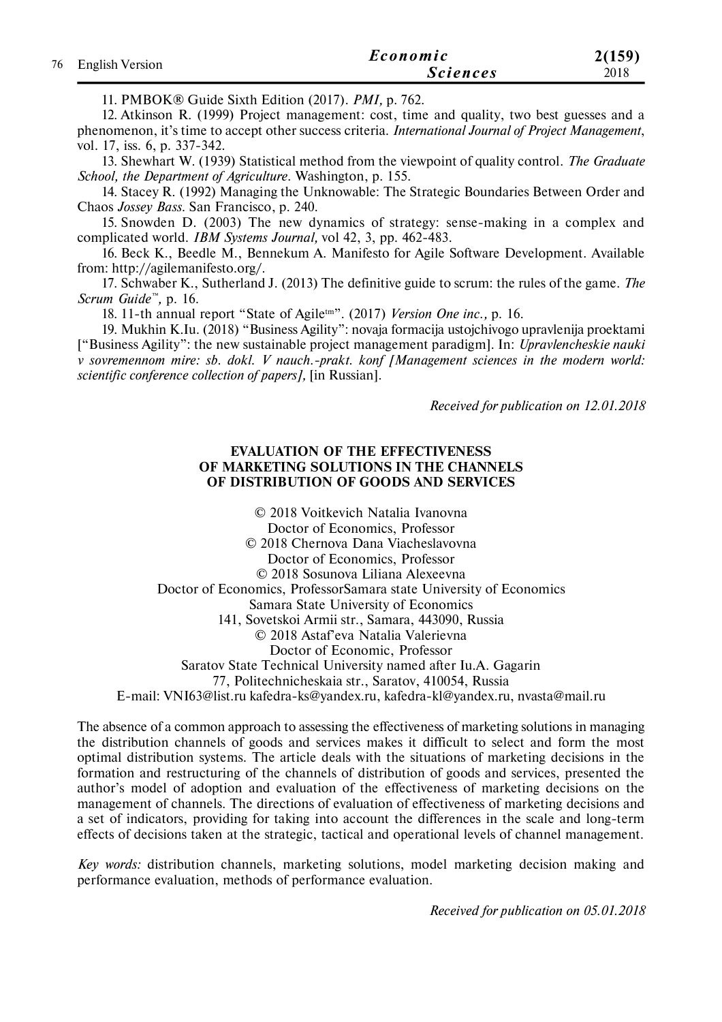| 76 English Version | Economic        | 2(159) |
|--------------------|-----------------|--------|
|                    | <i>Sciences</i> | 2018   |

11. PMBOK® Guide Sixth Edition (2017). *PMI,* p. 762.

12. Atkinson R. (1999) Project management: cost, time and quality, two best guesses and a phenomenon, it's time to accept other success criteria. *International Journal of Project Management*, vol. 17, iss. 6, p. 337-342.

13. Shewhart W. (1939) Statistical method from the viewpoint of quality control. *The Graduate School, the Department of Agriculture.* Washington, p. 155.

14. Stacey R. (1992) Managing the Unknowable: The Strategic Boundaries Between Order and Chaos *Jossey Bass*. San Francisco, p. 240.

15. Snowden D. (2003) The new dynamics of strategy: sense-making in a complex and complicated world. *IBM Systems Journal,* vol 42, 3, pp. 462-483.

16. Beck K., Beedle M., Bennekum A. Manifesto for Agile Software Development. Available from: http://agilemanifesto.org/.

17. Schwaber K., Sutherland J. (2013) The definitive guide to scrum: the rules of the game. *The Scrum Guide™,* p. 16.

18. 11-th annual report "State of Agiletm". (2017) *Version One inc.,* p. 16.

19. Mukhin K.Iu. (2018) "Business Agility": novaja formacija ustojchivogo upravlenija proektami ["Business Agility": the new sustainable project management paradigm]. In: *Upravlencheskie nauki v sovremennom mire: sb. dokl. V nauch.-prakt. konf [Management sciences in the modern world: scientific conference collection of papers],* [in Russian].

*Received for publication on 12.01.2018*

### **EVALUATION OF THE EFFECTIVENESS OF MARKETING SOLUTIONS IN THE CHANNELS OF DISTRIBUTION OF GOODS AND SERVICES**

© 2018 Voitkevich Natalia Ivanovna Doctor of Economics, Professor © 2018 Chernova Dana Viacheslavovna Doctor of Economics, Professor © 2018 Sosunova Liliana Alexeevna Doctor of Economics, ProfessorSamara state University of Economics Samara State University of Economics 141, Sovetskoi Armii str., Samara, 443090, Russia © 2018 Astaf'eva Natalia Valerievna Doctor of Economic, Professor Saratov State Technical University named after Iu.A. Gagarin 77, Politechnicheskaia str., Saratov, 410054, Russia E-mail: VNI63@list.ru kafedra-ks@yandex.ru, kafedra-kl@yandex.ru, nvasta@mail.ru

The absence of a common approach to assessing the effectiveness of marketing solutions in managing the distribution channels of goods and services makes it difficult to select and form the most optimal distribution systems. The article deals with the situations of marketing decisions in the formation and restructuring of the channels of distribution of goods and services, presented the author's model of adoption and evaluation of the effectiveness of marketing decisions on the management of channels. The directions of evaluation of effectiveness of marketing decisions and a set of indicators, providing for taking into account the differences in the scale and long-term effects of decisions taken at the strategic, tactical and operational levels of channel management.

*Key words:* distribution channels, marketing solutions, model marketing decision making and performance evaluation, methods of performance evaluation.

*Received for publication on 05.01.2018*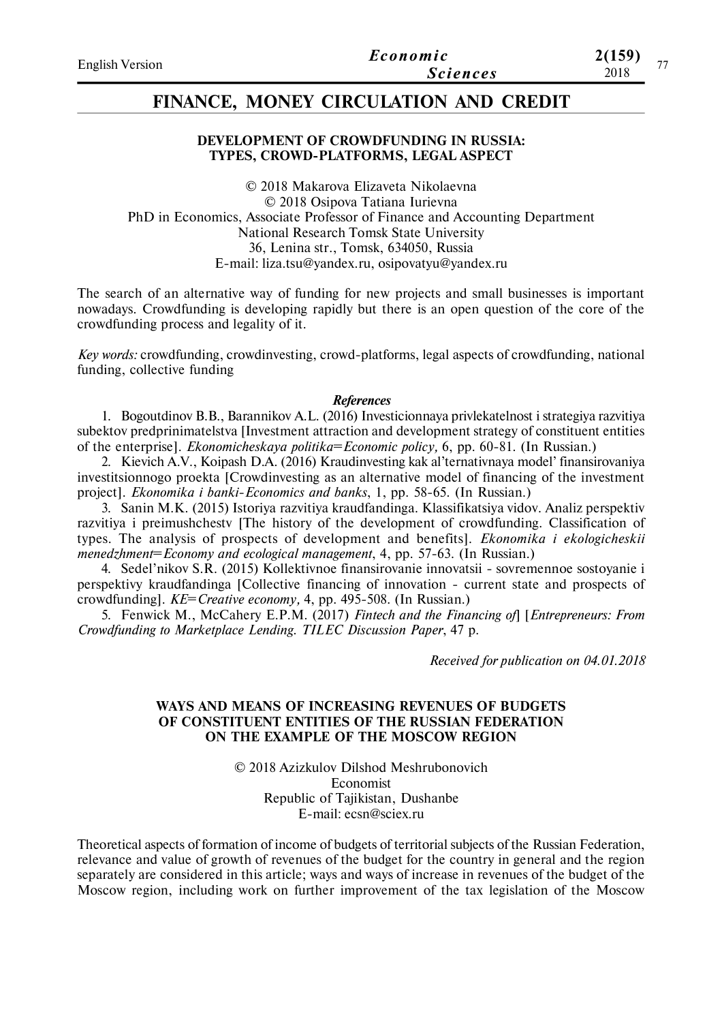## **FINANCE, MONEY CIRCULATION AND CREDIT**

### **DEVELOPMENT OF CROWDFUNDING IN RUSSIA: TYPES, CROWD-PLATFORMS, LEGAL ASPECT**

© 2018 Makarova Elizaveta Nikolaevna © 2018 Osipova Tatiana Iurievna PhD in Economics, Аssociate Professor of Finance and Accounting Department National Research Tomsk State University 36, Lenina str., Tomsk, 634050, Russia E-mail: liza.tsu@yandex.ru, osipovatyu@yandex.ru

The search of an alternative way of funding for new projects and small businesses is important nowadays. Crowdfunding is developing rapidly but there is an open question of the core of the crowdfunding process and legality of it.

*Key words:* crowdfunding, crowdinvesting, crowd-platforms, legal aspects of crowdfunding, national funding, collective funding

#### *References*

1. Bogoutdinov B.B., Barannikov A.L. (2016) Investicionnaya privlekatelnost i strategiya razvitiya subektov predprinimatelstva [Investment attraction and development strategy of constituent entities of the enterprise]. *Ekonomicheskaya politika*=*Economic policy,* 6, pp. 60-81. (In Russian.)

2. Kievich A.V., Koipash D.A. (2016) Kraudinvesting kak al'ternativnaya model' finansirovaniya investitsionnogo proekta [Crowdinvesting as an alternative model of financing of the investment project]. *Ekonomika i banki*-*Economics and banks*, 1, pp. 58-65. (In Russian.)

3. Sanin M.K. (2015) Istoriya razvitiya kraudfandinga. Klassifikatsiya vidov. Analiz perspektiv razvitiya i preimushchestv [The history of the development of crowdfunding. Classification of types. The analysis of prospects of development and benefits]. *Ekonomika i ekologicheskii menedzhment*=*Economy and ecological management*, 4, pp. 57-63. (In Russian.)

4. Sedel'nikov S.R. (2015) Kollektivnoe finansirovanie innovatsii - sovremennoe sostoyanie i perspektivy kraudfandinga [Collective financing of innovation - current state and prospects of crowdfunding]. *KE*=*Creative economy,* 4, pp. 495-508. (In Russian.)

5. Fenwick M., McCahery E.P.M. (2017) *Fintech and the Financing of*] [*Entrepreneurs: From Crowdfunding to Marketplace Lending. TILEC Discussion Paper*, 47 p.

*Received for publication on 04.01.2018*

#### **WAYS AND MEANS OF INCREASING REVENUES OF BUDGETS OF CONSTITUENT ENTITIES OF THE RUSSIAN FEDERATION ON THE EXAMPLE OF THE MOSCOW REGION**

© 2018 Azizkulov Dilshod Meshrubonovich Economist Republic of Tajikistan, Dushanbe E-mail: ecsn@sciex.ru

Theoretical aspects of formation of income of budgets of territorial subjects of the Russian Federation, relevance and value of growth of revenues of the budget for the country in general and the region separately are considered in this article; ways and ways of increase in revenues of the budget of the Moscow region, including work on further improvement of the tax legislation of the Moscow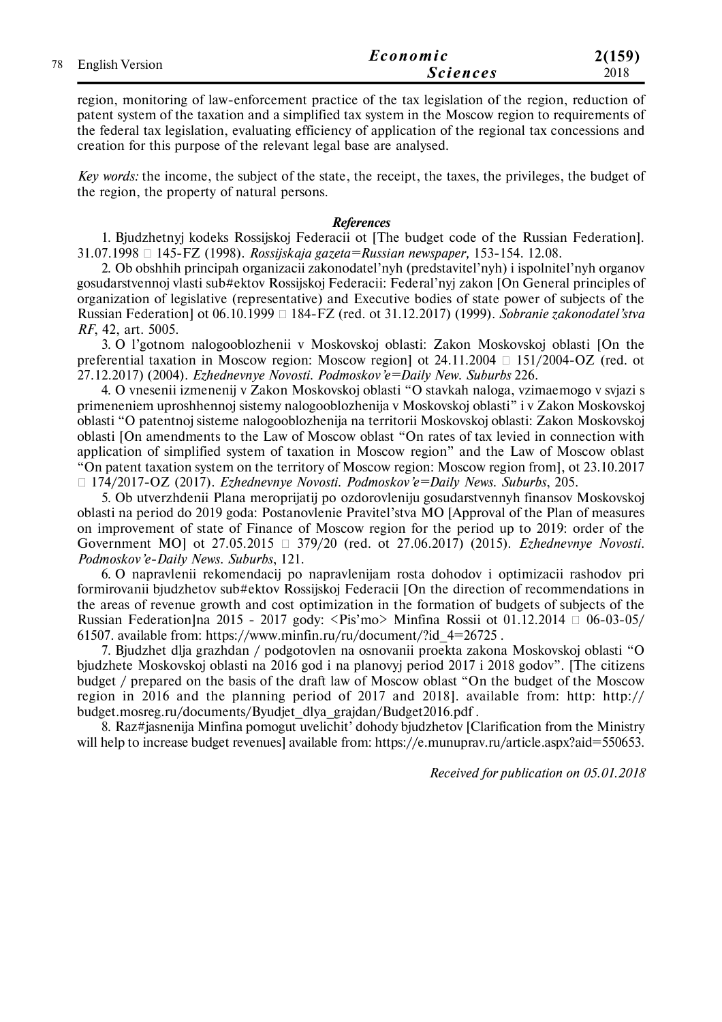|  | 78 English Version | Economic        | 2(159) |
|--|--------------------|-----------------|--------|
|  |                    | <b>Sciences</b> | 2018   |

region, monitoring of law-enforcement practice of the tax legislation of the region, reduction of patent system of the taxation and a simplified tax system in the Moscow region to requirements of the federal tax legislation, evaluating efficiency of application of the regional tax concessions and creation for this purpose of the relevant legal base are analysed.

*Key words:* the income, the subject of the state, the receipt, the taxes, the privileges, the budget of the region, the property of natural persons.

#### *References*

1. Bjudzhetnyj kodeks Rossijskoj Federacii ot [The budget code of the Russian Federation]. 31.07.1998 145-FZ (1998). *Rossijskaja gazeta=Russian newspaper,* 153-154. 12.08.

2. Ob obshhih principah organizacii zakonodatel'nyh (predstavitel'nyh) i ispolnitel'nyh organov gosudarstvennoj vlasti sub#ektov Rossijskoj Federacii: Federal'nyj zakon [On General principles of organization of legislative (representative) and Executive bodies of state power of subjects of the Russian Federation] ot 06.10.1999 184-FZ (red. ot 31.12.2017) (1999). *Sobranie zakonodatel'stva RF*, 42, art. 5005.

3. O l'gotnom nalogooblozhenii v Moskovskoj oblasti: Zakon Moskovskoj oblasti [On the preferential taxation in Moscow region: Moscow region ot  $24.11.2004 \square 151/2004$ -OZ (red. ot 27.12.2017) (2004). *Ezhednevnye Novosti. Podmoskov'e=Daily New. Suburbs* 226.

4. O vnesenii izmenenij v Zakon Moskovskoj oblasti "O stavkah naloga, vzimaemogo v svjazi s primeneniem uproshhennoj sistemy nalogooblozhenija v Moskovskoj oblasti" i v Zakon Moskovskoj oblasti "O patentnoj sisteme nalogooblozhenija na territorii Moskovskoj oblasti: Zakon Moskovskoj oblasti [On amendments to the Law of Moscow oblast "On rates of tax levied in connection with application of simplified system of taxation in Moscow region" and the Law of Moscow oblast "On patent taxation system on the territory of Moscow region: Moscow region from], ot 23.10.2017 174/2017-OZ (2017). *Ezhednevnye Novosti. Podmoskov'e=Daily News. Suburbs*, 205.

5. Ob utverzhdenii Plana meroprijatij po ozdorovleniju gosudarstvennyh finansov Moskovskoj oblasti na period do 2019 goda: Postanovlenie Pravitel'stva MO [Approval of the Plan of measures on improvement of state of Finance of Moscow region for the period up to 2019: order of the Government MO] ot 27.05.2015 379/20 (red. ot 27.06.2017) (2015). *Ezhednevnye Novosti. Podmoskov'e-Daily News. Suburbs*, 121.

6. O napravlenii rekomendacij po napravlenijam rosta dohodov i optimizacii rashodov pri formirovanii bjudzhetov sub#ektov Rossijskoj Federacii [On the direction of recommendations in the areas of revenue growth and cost optimization in the formation of budgets of subjects of the Russian Federation | na 2015 - 2017 gody: <Pis'mo> Minfina Rossii ot 01.12.2014  $\Box$  06-03-05/ 61507. available from: https://www.minfin.ru/ru/document/?id\_4=26725.

7. Bjudzhet dlja grazhdan / podgotovlen na osnovanii proekta zakona Moskovskoj oblasti "O bjudzhete Moskovskoj oblasti na 2016 god i na planovyj period 2017 i 2018 godov". [The citizens budget / prepared on the basis of the draft law of Moscow oblast "On the budget of the Moscow region in 2016 and the planning period of 2017 and 2018]. available from: http: http:// budget.mosreg.ru/documents/Byudjet\_dlya\_grajdan/Budget2016.pdf .

8. Raz#jasnenija Minfina pomogut uvelichit' dohody bjudzhetov [Clarification from the Ministry will help to increase budget revenues] available from: https://e.munuprav.ru/article.aspx?aid=550653.

*Received for publication on 05.01.2018*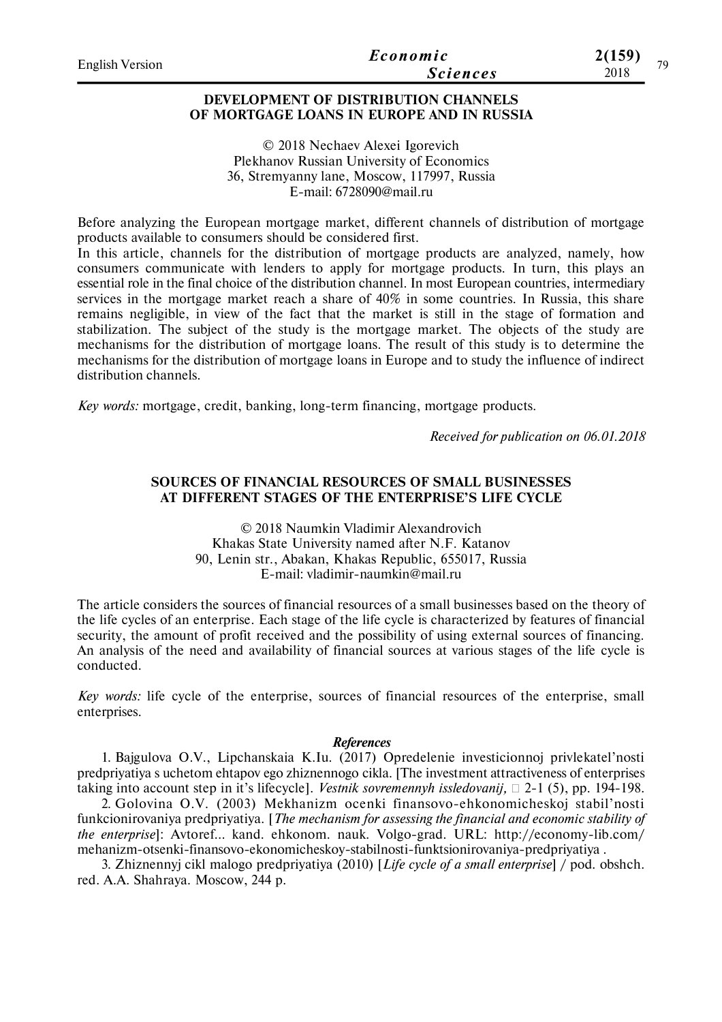| English Version | Economic        | 2(159) | 70 |
|-----------------|-----------------|--------|----|
|                 | <b>Sciences</b> | 2018   |    |
|                 |                 |        |    |

### **DEVELOPMENT OF DISTRIBUTION CHANNELS OF MORTGAGE LOANS IN EUROPE AND IN RUSSIA**

© 2018 Nechaev Alexei Igorevich Plekhanov Russian University of Economics 36, Stremyanny lane, Moscow, 117997, Russia E-mail: 6728090@mail.ru

Before analyzing the European mortgage market, different channels of distribution of mortgage products available to consumers should be considered first.

In this article, channels for the distribution of mortgage products are analyzed, namely, how consumers communicate with lenders to apply for mortgage products. In turn, this plays an essential role in the final choice of the distribution channel. In most European countries, intermediary services in the mortgage market reach a share of 40% in some countries. In Russia, this share remains negligible, in view of the fact that the market is still in the stage of formation and stabilization. The subject of the study is the mortgage market. The objects of the study are mechanisms for the distribution of mortgage loans. The result of this study is to determine the mechanisms for the distribution of mortgage loans in Europe and to study the influence of indirect distribution channels.

*Key words:* mortgage, credit, banking, long-term financing, mortgage products.

*Received for publication on 06.01.2018*

#### **SOURCES OF FINANCIAL RESOURCES OF SMALL BUSINESSES AT DIFFERENT STAGES OF THE ENTERPRISE'S LIFE CYCLE**

© 2018 Naumkin Vladimir Alexandrovich Khakas State University named after N.F. Katanov 90, Lenin str., Abakan, Khakas Republic, 655017, Russia E-mail: vladimir-naumkin@mail.ru

The article considers the sources of financial resources of a small businesses based on the theory of the life cycles of an enterprise. Each stage of the life cycle is characterized by features of financial security, the amount of profit received and the possibility of using external sources of financing. An analysis of the need and availability of financial sources at various stages of the life cycle is conducted.

*Key words:* life cycle of the enterprise, sources of financial resources of the enterprise, small enterprises.

#### *References*

1. Bajgulova O.V., Lipchanskaia K.Iu. (2017) Opredelenie investicionnoj privlekatel'nosti predpriyatiya s uchetom ehtapov ego zhiznennogo cikla. [The investment attractiveness of enterprises taking into account step in it's lifecycle]. *Vestnik sovremennyh issledovanij*,  $\Box$  2-1 (5), pp. 194-198.

2. Golovina O.V. (2003) Mekhanizm ocenki finansovo-ehkonomicheskoj stabil'nosti funkcionirovaniya predpriyatiya. [*The mechanism for assessing the financial and economic stability of the enterprise*]: Avtoref… kand. ehkonom. nauk. Volgo-grad. URL: http://economy-lib.com/ mehanizm-otsenki-finansovo-ekonomicheskoy-stabilnosti-funktsionirovaniya-predpriyatiya .

3. Zhiznennyj cikl malogo predpriyatiya (2010) [*Life cycle of a small enterprise*] / pod. obshch. red. A.A. Shahraya. Мoscow, 244 p.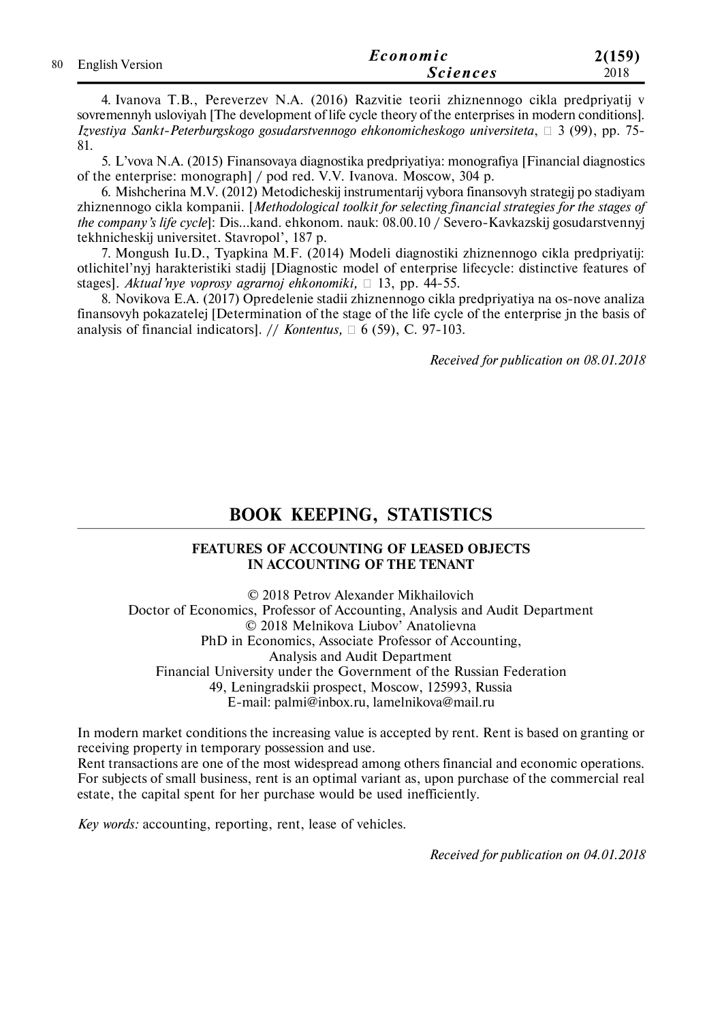|                    | Economic        | 2(159) |
|--------------------|-----------------|--------|
| 80 English Version | <b>Sciences</b> | 2018   |

4. Ivanova T.B., Pereverzev N.A. (2016) Razvitie teorii zhiznennogo cikla predpriyatij v sovremennyh usloviyah [The development of life cycle theory of the enterprises in modern conditions]. *Izvestiya Sankt-Peterburgskogo gosudarstvennogo ehkonomicheskogo universiteta*, 3 (99), pp. 75- 81.

5. L'vova N.A. (2015) Finansovaya diagnostika predpriyatiya: monografiya [Financial diagnostics of the enterprise: monograph] / pod red. V.V. Ivanova. Moscow, 304 p.

6. Mishcherina M.V. (2012) Metodicheskij instrumentarij vybora finansovyh strategij po stadiyam zhiznennogo cikla kompanii. [*Methodological toolkit for selecting financial strategies for the stages of the company's life cycle*]: Dis…kand. ehkonom. nauk: 08.00.10 / Severo-Kavkazskij gosudarstvennyj tekhnicheskij universitet. Stavropol', 187 p.

7. Mongush Iu.D., Tyapkina M.F. (2014) Modeli diagnostiki zhiznennogo cikla predpriyatij: otlichitel'nyj harakteristiki stadij [Diagnostic model of enterprise lifecycle: distinctive features of stages]. *Aktual'nye voprosy agrarnoj ehkonomiki*,  $\Box$  13, pp. 44-55.

8. Novikova E.A. (2017) Opredelenie stadii zhiznennogo cikla predpriyatiya na os-nove analiza finansovyh pokazatelej [Determination of the stage of the life cycle of the enterprise jn the basis of analysis of financial indicators]. // *Kontentus*,  $\Box$  6 (59), C. 97-103.

*Received for publication on 08.01.2018*

# **BOOK KEEPING, STATISTICS**

#### **FEATURES OF ACCOUNTING OF LEASED OBJECTS IN ACCOUNTING OF THE TENANT**

© 2018 Petrov Alexander Mikhailovich Doctor of Economics, Professor of Accounting, Analysis and Audit Department © 2018 Melnikova Liubov' Anatolievna PhD in Economics, Associate Professor of Accounting, Analysis and Audit Department Financial University under the Government of the Russian Federation 49, Leningradskii prospect, Moscow, 125993, Russia E-mail: palmi@inbox.ru, lamelnikova@mail.ru

In modern market conditions the increasing value is accepted by rent. Rent is based on granting or receiving property in temporary possession and use.

Rent transactions are one of the most widespread among others financial and economic operations. For subjects of small business, rent is an optimal variant as, upon purchase of the commercial real estate, the capital spent for her purchase would be used inefficiently.

*Key words:* accounting, reporting, rent, lease of vehicles.

*Received for publication on 04.01.2018*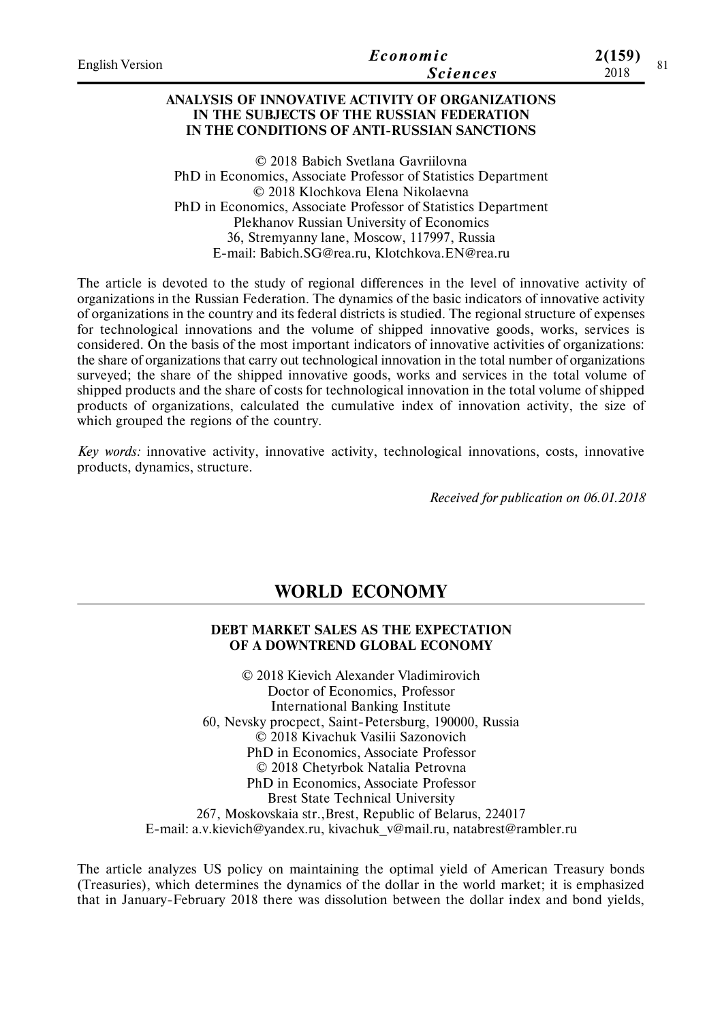| <b>English Version</b> | Economic        | 2(159) |  |
|------------------------|-----------------|--------|--|
|                        | <i>Sciences</i> | 2018   |  |
|                        |                 |        |  |

#### **ANALYSIS OF INNOVATIVE ACTIVITY OF ORGANIZATIONS IN THE SUBJECTS OF THE RUSSIAN FEDERATION IN THE CONDITIONS OF ANTI-RUSSIAN SANCTIONS**

© 2018 Babich Svetlana Gavriilovna PhD in Economics, Associate Professor of Statistics Department © 2018 Klochkova Elena Nikolaevna PhD in Economics, Associate Professor of Statistics Department Plekhanov Russian University of Economics 36, Stremyanny lane, Moscow, 117997, Russia E-mail: Babich.SG@rea.ru, Klotchkova.EN@rea.ru

The article is devoted to the study of regional differences in the level of innovative activity of organizations in the Russian Federation. The dynamics of the basic indicators of innovative activity of organizations in the country and its federal districts is studied. The regional structure of expenses for technological innovations and the volume of shipped innovative goods, works, services is considered. On the basis of the most important indicators of innovative activities of organizations: the share of organizations that carry out technological innovation in the total number of organizations surveyed; the share of the shipped innovative goods, works and services in the total volume of shipped products and the share of costs for technological innovation in the total volume of shipped products of organizations, calculated the cumulative index of innovation activity, the size of which grouped the regions of the country.

*Key words:* innovative activity, innovative activity, technological innovations, costs, innovative products, dynamics, structure.

*Received for publication on 06.01.2018*

## **WORLD ECONOMY**

#### **DEBT MARKET SALES AS THE EXPECTATION OF A DOWNTREND GLOBAL ECONOMY**

© 2018 Kievich Alexander Vladimirovich Doctor of Economics, Professor International Banking Institute 60, Nevsky procpect, Saint-Petersburg, 190000, Russia © 2018 Kivachuk Vasilii Sazonovich PhD in Economics, Associate Professor © 2018 Chetyrbok Natalia Petrovna PhD in Economics, Associate Professor Brest State Technical University 267, Moskovskaia str.,Brest, Republic of Belarus, 224017 Е-mail: a.v.kievich@yandex.ru, kivachuk\_v@mail.ru, natabrest@rambler.ru

The article analyzes US policy on maintaining the optimal yield of American Treasury bonds (Treasuries), which determines the dynamics of the dollar in the world market; it is emphasized that in January-February 2018 there was dissolution between the dollar index and bond yields,